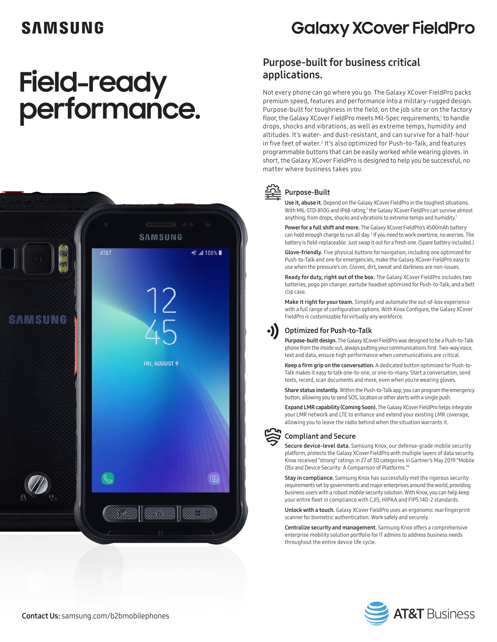## SAMSUNG

# **Field-ready performance.**



## **Galaxy XCover FieldPro**

### Purpose-built for business critical applications.

Not every phone can go where you go. The Galaxy XCover FieldPro packs premium speed, features and performance into a military-rugged design. Purpose-built for toughness in the field, on the job site or on the factory floor, the Galaxy XCover FieldPro meets Mil-Spec requirements,1 to handle drops, shocks and vibrations, as well as extreme temps, humidity and altitudes. It's water- and dust-resistant, and can survive for a half-hour in five feet of water.<sup>2</sup> It's also optimized for Push-to-Talk, and features programmable buttons that can be easily worked while wearing gloves. In short, the Galaxy XCover FieldPro is designed to help you be successful, no matter where business takes you.



#### Purpose-Built

Use it, abuse it. Depend on the Galaxy XCover FieldPro in the toughest situations. With MIL-STD-810G and IP68 rating,<sup>2</sup> the Galaxy XCover FieldPro can survive almost anything, from drops, shocks and vibrations to extreme temps and humidity.<sup>1</sup>

Power for a full shift and more. The Galaxy XCover FieldPro's 4500mAh battery can hold enough charge to run all day.<sup>3</sup> If you need to work overtime, no worries. The battery is field-replaceable. Just swap it out for a fresh one. (Spare battery included.)

Glove-friendly. Five physical buttons for navigation, including one optimized for Push-to-Talk and one for emergencies, make the Galaxy XCover FieldPro easy to use when the pressure's on. Gloves, dirt, sweat and darkness are non-issues.

Ready for duty, right out of the box. The Galaxy XCover FieldPro includes two batteries, pogo pin charger, eartube headset optimized for Push-to-Talk, and a belt clip case.

Make it right for your team. Simplify and automate the out-of-box experience with a full range of configuration options. With Knox Configure, the Galaxy XCover FieldPro is customizable for virtually any workforce.

#### Optimized for Push-to-Talk

Purpose-built design. The Galaxy XCover FieldPro was designed to be a Push-to-Talk phone from the inside out, always putting your communications first. Two-way voice, text and data, ensure high performance when communications are critical.

Keep a firm grip on the conversation. A dedicated button optimized for Push-to-Talk makes it easy to talk one-to-one, or one-to-many. Start a conversation, send texts, record, scan documents and more, even when you're wearing gloves.

Share status instantly. Within the Push-to-Talk app, you can program the emergency button, allowing you to send SOS, location or other alerts with a single push.

Expand LMR capability (Coming Soon). The Galaxy XCover FieldPro helps integrate your LMR network and LTE to enhance and extend your existing LMR coverage, allowing you to leave the radio behind when the situation warrants it.



#### Compliant and Secure

Secure device-level data. Samsung Knox, our defense-grade mobile security platform, protects the Galaxy XCover FieldPro with multiple layers of data security. Knox received "strong" ratings in 27 of 30 categories in Gartner's May 2019 "Mobile OSs and Device Security: A Comparison of Platforms."<sup>4</sup>

Stay in compliance. Samsung Knox has successfully met the rigorous security requirements set by governments and major enterprises around the world, providing business users with a robust mobile security solution. With Knox, you can help keep your entire fleet in compliance with CJIS, HIPAA and FIPS 140-2 standards.

Unlock with a touch. Galaxy XCover FieldPro uses an ergonomic rear fingerprint scanner for biometric authentication. Work safely and securely.

Centralize security and management. Samsung Knox offers a comprehensive enterprise mobility solution portfolio for IT admins to address business needs throughout the entire device life cycle.